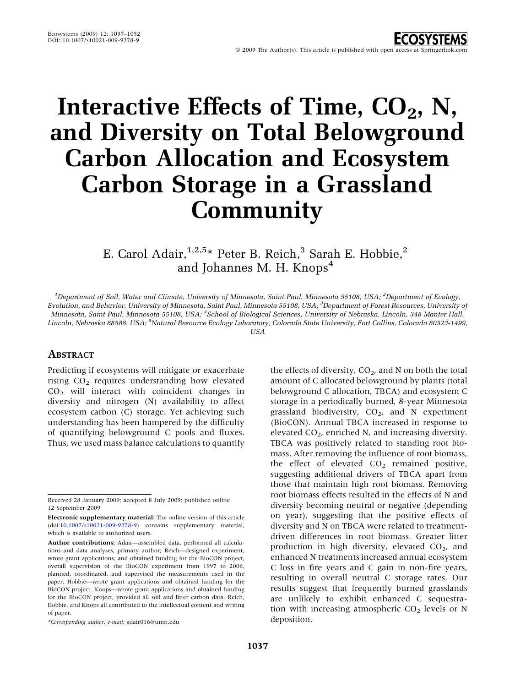# Interactive Effects of Time,  $CO<sub>2</sub>$ , N, and Diversity on Total Belowground Carbon Allocation and Ecosystem Carbon Storage in a Grassland **Community**

E. Carol Adair,  $1,2,5*$  Peter B. Reich,<sup>3</sup> Sarah E. Hobbie,<sup>2</sup> and Johannes M. H. Knops<sup>4</sup>

<sup>1</sup>Department of Soil, Water and Climate, University of Minnesota, Saint Paul, Minnesota 55108, USA; <sup>2</sup>Department of Ecology, Evolution, and Behavior, University of Minnesota, Saint Paul, Minnesota 55108, USA; <sup>3</sup>Department of Forest Resources, University of Minnesota, Saint Paul, Minnesota 55108, USA; <sup>4</sup> School of Biological Sciences, University of Nebraska, Lincoln, 348 Manter Hall, Lincoln, Nebraska 68588, USA; <sup>5</sup>Natural Resource Ecology Laboratory, Colorado State University, Fort Collins, Colorado 80523-1499, USA

## **ABSTRACT**

Predicting if ecosystems will mitigate or exacerbate rising  $CO<sub>2</sub>$  requires understanding how elevated  $CO<sub>2</sub>$  will interact with coincident changes in diversity and nitrogen (N) availability to affect ecosystem carbon (C) storage. Yet achieving such understanding has been hampered by the difficulty of quantifying belowground C pools and fluxes. Thus, we used mass balance calculations to quantify

\*Corresponding author; e-mail: adair016@umn.edu

the effects of diversity,  $CO<sub>2</sub>$ , and N on both the total amount of C allocated belowground by plants (total belowground C allocation, TBCA) and ecosystem C storage in a periodically burned, 8-year Minnesota grassland biodiversity,  $CO<sub>2</sub>$ , and N experiment (BioCON). Annual TBCA increased in response to elevated  $CO<sub>2</sub>$ , enriched N, and increasing diversity. TBCA was positively related to standing root biomass. After removing the influence of root biomass, the effect of elevated  $CO<sub>2</sub>$  remained positive, suggesting additional drivers of TBCA apart from those that maintain high root biomass. Removing root biomass effects resulted in the effects of N and diversity becoming neutral or negative (depending on year), suggesting that the positive effects of diversity and N on TBCA were related to treatmentdriven differences in root biomass. Greater litter production in high diversity, elevated  $CO<sub>2</sub>$ , and enhanced N treatments increased annual ecosystem C loss in fire years and C gain in non-fire years, resulting in overall neutral C storage rates. Our results suggest that frequently burned grasslands are unlikely to exhibit enhanced C sequestration with increasing atmospheric  $CO<sub>2</sub>$  levels or N deposition.

Received 28 January 2009; accepted 8 July 2009; published online 12 September 2009

Electronic supplementary material: The online version of this article (doi[:10.1007/s10021-009-9278-9\)](http://dx.doi.org/10.1007/s10021-009-9278-9) contains supplementary material, which is available to authorized users.

Author contributions: Adair—assembled data, performed all calculations and data analyses, primary author; Reich—designed experiment, wrote grant applications, and obtained funding for the BioCON project, overall supervision of the BioCON experiment from 1997 to 2006, planned, coordinated, and supervised the measurements used in the paper. Hobbie—wrote grant applications and obtained funding for the BioCON project. Knops—wrote grant applications and obtained funding for the BioCON project, provided all soil and litter carbon data. Reich, Hobbie, and Knops all contributed to the intellectual content and writing of paper.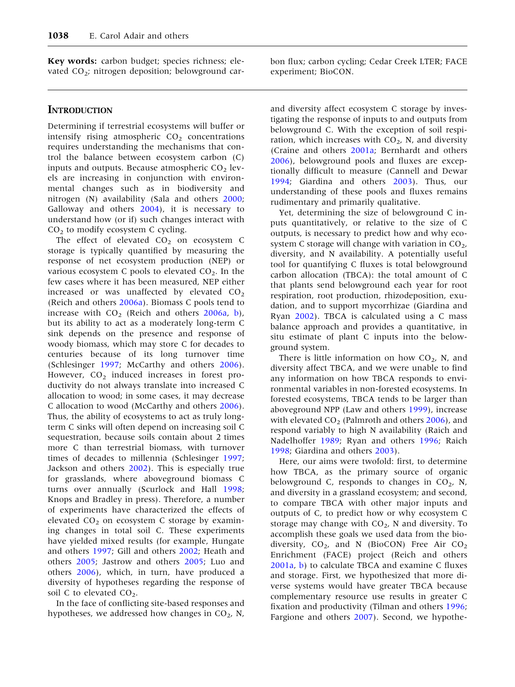Key words: carbon budget; species richness; elevated CO<sub>2</sub>; nitrogen deposition; belowground car-

#### **INTRODUCTION**

Determining if terrestrial ecosystems will buffer or intensify rising atmospheric  $CO<sub>2</sub>$  concentrations requires understanding the mechanisms that control the balance between ecosystem carbon (C) inputs and outputs. Because atmospheric  $CO<sub>2</sub>$  levels are increasing in conjunction with environmental changes such as in biodiversity and nitrogen (N) availability (Sala and others [2000](#page-15-0); Galloway and others [2004\)](#page-14-0), it is necessary to understand how (or if) such changes interact with  $CO<sub>2</sub>$  to modify ecosystem C cycling.

The effect of elevated  $CO<sub>2</sub>$  on ecosystem C storage is typically quantified by measuring the response of net ecosystem production (NEP) or various ecosystem C pools to elevated  $CO<sub>2</sub>$ . In the few cases where it has been measured, NEP either increased or was unaffected by elevated  $CO<sub>2</sub>$ (Reich and others [2006a\)](#page-15-0). Biomass C pools tend to increase with  $CO<sub>2</sub>$  $CO<sub>2</sub>$  $CO<sub>2</sub>$  (Reich and others [2006a,](#page-15-0) b), but its ability to act as a moderately long-term C sink depends on the presence and response of woody biomass, which may store C for decades to centuries because of its long turnover time (Schlesinger [1997](#page-15-0); McCarthy and others [2006](#page-14-0)). However,  $CO<sub>2</sub>$  induced increases in forest productivity do not always translate into increased C allocation to wood; in some cases, it may decrease C allocation to wood (McCarthy and others [2006](#page-14-0)). Thus, the ability of ecosystems to act as truly longterm C sinks will often depend on increasing soil C sequestration, because soils contain about 2 times more C than terrestrial biomass, with turnover times of decades to millennia (Schlesinger [1997](#page-15-0); Jackson and others [2002](#page-14-0)). This is especially true for grasslands, where aboveground biomass C turns over annually (Scurlock and Hall [1998](#page-15-0); Knops and Bradley in press). Therefore, a number of experiments have characterized the effects of elevated  $CO<sub>2</sub>$  on ecosystem C storage by examining changes in total soil C. These experiments have yielded mixed results (for example, Hungate and others [1997;](#page-14-0) Gill and others [2002](#page-14-0); Heath and others [2005;](#page-14-0) Jastrow and others [2005;](#page-14-0) Luo and others [2006](#page-14-0)), which, in turn, have produced a diversity of hypotheses regarding the response of soil C to elevated  $CO<sub>2</sub>$ .

In the face of conflicting site-based responses and hypotheses, we addressed how changes in  $CO<sub>2</sub>$ , N,

bon flux; carbon cycling; Cedar Creek LTER; FACE experiment; BioCON.

and diversity affect ecosystem C storage by investigating the response of inputs to and outputs from belowground C. With the exception of soil respiration, which increases with  $CO<sub>2</sub>$ , N, and diversity (Craine and others [2001a;](#page-13-0) Bernhardt and others [2006\)](#page-13-0), belowground pools and fluxes are exceptionally difficult to measure (Cannell and Dewar [1994;](#page-13-0) Giardina and others [2003](#page-14-0)). Thus, our understanding of these pools and fluxes remains rudimentary and primarily qualitative.

Yet, determining the size of belowground C inputs quantitatively, or relative to the size of C outputs, is necessary to predict how and why ecosystem C storage will change with variation in  $CO<sub>2</sub>$ , diversity, and N availability. A potentially useful tool for quantifying C fluxes is total belowground carbon allocation (TBCA): the total amount of C that plants send belowground each year for root respiration, root production, rhizodeposition, exudation, and to support mycorrhizae (Giardina and Ryan [2002](#page-14-0)). TBCA is calculated using a C mass balance approach and provides a quantitative, in situ estimate of plant C inputs into the belowground system.

There is little information on how  $CO<sub>2</sub>$ , N, and diversity affect TBCA, and we were unable to find any information on how TBCA responds to environmental variables in non-forested ecosystems. In forested ecosystems, TBCA tends to be larger than aboveground NPP (Law and others [1999](#page-14-0)), increase with elevated  $CO<sub>2</sub>$  (Palmroth and others [2006](#page-14-0)), and respond variably to high N availability (Raich and Nadelhoffer [1989;](#page-14-0) Ryan and others [1996;](#page-15-0) Raich [1998;](#page-14-0) Giardina and others [2003\)](#page-14-0).

Here, our aims were twofold: first, to determine how TBCA, as the primary source of organic belowground C, responds to changes in  $CO<sub>2</sub>$ , N, and diversity in a grassland ecosystem; and second, to compare TBCA with other major inputs and outputs of C, to predict how or why ecosystem C storage may change with  $CO<sub>2</sub>$ , N and diversity. To accomplish these goals we used data from the biodiversity,  $CO<sub>2</sub>$ , and N (BioCON) Free Air  $CO<sub>2</sub>$ Enrichment (FACE) project (Reich and others [2001a,](#page-14-0) [b](#page-14-0)) to calculate TBCA and examine C fluxes and storage. First, we hypothesized that more diverse systems would have greater TBCA because complementary resource use results in greater C fixation and productivity (Tilman and others [1996](#page-15-0); Fargione and others [2007](#page-13-0)). Second, we hypothe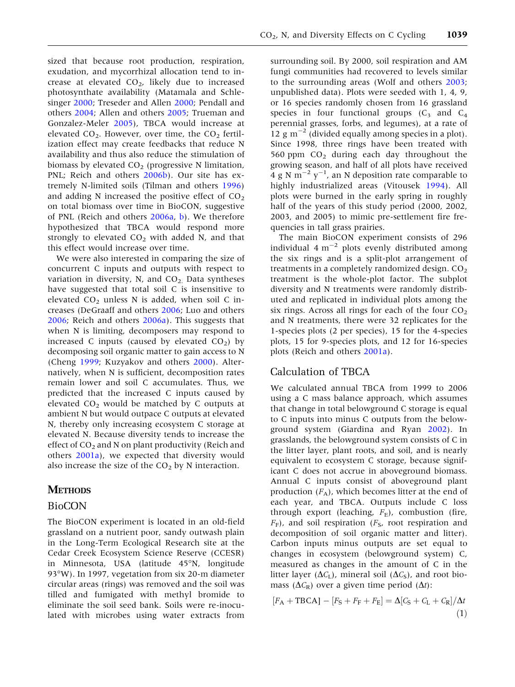<span id="page-2-0"></span>sized that because root production, respiration, exudation, and mycorrhizal allocation tend to increase at elevated  $CO<sub>2</sub>$ , likely due to increased photosynthate availability (Matamala and Schlesinger [2000;](#page-14-0) Treseder and Allen [2000](#page-15-0); Pendall and others [2004](#page-14-0); Allen and others [2005](#page-13-0); Trueman and Gonzalez-Meler [2005](#page-15-0)), TBCA would increase at elevated  $CO_2$ . However, over time, the  $CO_2$  fertilization effect may create feedbacks that reduce N availability and thus also reduce the stimulation of biomass by elevated  $CO<sub>2</sub>$  (progressive N limitation, PNL; Reich and others [2006b](#page-15-0)). Our site has extremely N-limited soils (Tilman and others [1996](#page-15-0)) and adding N increased the positive effect of  $CO<sub>2</sub>$ on total biomass over time in BioCON, suggestive of PNL (Reich and others  $2006a$ , [b](#page-15-0)). We therefore hypothesized that TBCA would respond more strongly to elevated  $CO<sub>2</sub>$  with added N, and that this effect would increase over time.

We were also interested in comparing the size of concurrent C inputs and outputs with respect to variation in diversity, N, and  $CO<sub>2</sub>$ . Data syntheses have suggested that total soil C is insensitive to elevated  $CO<sub>2</sub>$  unless N is added, when soil C increases (DeGraaff and others [2006](#page-13-0); Luo and others [2006;](#page-14-0) Reich and others [2006a\)](#page-15-0). This suggests that when N is limiting, decomposers may respond to increased C inputs (caused by elevated  $CO<sub>2</sub>$ ) by decomposing soil organic matter to gain access to N (Cheng [1999](#page-13-0); Kuzyakov and others [2000](#page-14-0)). Alternatively, when N is sufficient, decomposition rates remain lower and soil C accumulates. Thus, we predicted that the increased C inputs caused by elevated  $CO<sub>2</sub>$  would be matched by C outputs at ambient N but would outpace C outputs at elevated N, thereby only increasing ecosystem C storage at elevated N. Because diversity tends to increase the effect of  $CO<sub>2</sub>$  and N on plant productivity (Reich and others [2001a\)](#page-14-0), we expected that diversity would also increase the size of the  $CO<sub>2</sub>$  by N interaction.

## **METHODS**

#### BioCON

The BioCON experiment is located in an old-field grassland on a nutrient poor, sandy outwash plain in the Long-Term Ecological Research site at the Cedar Creek Ecosystem Science Reserve (CCESR) in Minnesota, USA (latitude 45°N, longitude 93°W). In 1997, vegetation from six 20-m diameter circular areas (rings) was removed and the soil was tilled and fumigated with methyl bromide to eliminate the soil seed bank. Soils were re-inoculated with microbes using water extracts from

surrounding soil. By 2000, soil respiration and AM fungi communities had recovered to levels similar to the surrounding areas (Wolf and others [2003](#page-15-0); unpublished data). Plots were seeded with 1, 4, 9, or 16 species randomly chosen from 16 grassland species in four functional groups  $(C_3$  and  $C_4$ perennial grasses, forbs, and legumes), at a rate of 12  $\rm g$  m<sup>-2</sup> (divided equally among species in a plot). Since 1998, three rings have been treated with 560 ppm  $CO<sub>2</sub>$  during each day throughout the growing season, and half of all plots have received  $4 \text{ g N m}^{-2} \text{ y}^{-1}$ , an N deposition rate comparable to highly industrialized areas (Vitousek [1994](#page-15-0)). All plots were burned in the early spring in roughly half of the years of this study period (2000, 2002, 2003, and 2005) to mimic pre-settlement fire frequencies in tall grass prairies.

The main BioCON experiment consists of 296 individual 4  $m^{-2}$  plots evenly distributed among the six rings and is a split-plot arrangement of treatments in a completely randomized design.  $CO<sub>2</sub>$ treatment is the whole-plot factor. The subplot diversity and N treatments were randomly distributed and replicated in individual plots among the six rings. Across all rings for each of the four  $CO<sub>2</sub>$ and N treatments, there were 32 replicates for the 1-species plots (2 per species), 15 for the 4-species plots, 15 for 9-species plots, and 12 for 16-species plots (Reich and others [2001a](#page-14-0)).

# Calculation of TBCA

We calculated annual TBCA from 1999 to 2006 using a C mass balance approach, which assumes that change in total belowground C storage is equal to C inputs into minus C outputs from the belowground system (Giardina and Ryan [2002\)](#page-14-0). In grasslands, the belowground system consists of C in the litter layer, plant roots, and soil, and is nearly equivalent to ecosystem C storage, because significant C does not accrue in aboveground biomass. Annual C inputs consist of aboveground plant production  $(F_A)$ , which becomes litter at the end of each year, and TBCA. Outputs include C loss through export (leaching,  $F_{\rm E}$ ), combustion (fire,  $F_F$ ), and soil respiration ( $F_S$ , root respiration and decomposition of soil organic matter and litter). Carbon inputs minus outputs are set equal to changes in ecosystem (belowground system) C, measured as changes in the amount of C in the litter layer ( $\Delta C_{\rm L}$ ), mineral soil ( $\Delta C_{\rm S}$ ), and root biomass ( $\Delta C_{\rm R}$ ) over a given time period ( $\Delta t$ ):

$$
[F_{\rm A} + \text{TBCA}] - [F_{\rm S} + F_{\rm F} + F_{\rm E}] = \Delta [C_{\rm S} + C_{\rm L} + C_{\rm R}] / \Delta t \tag{1}
$$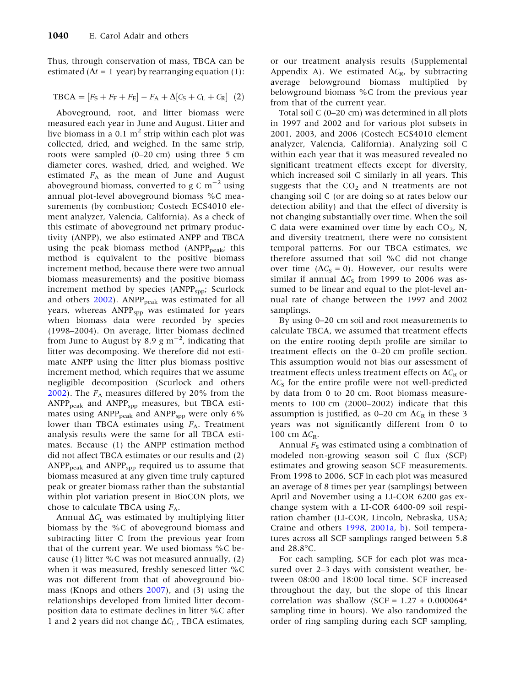Thus, through conservation of mass, TBCA can be estimated ( $\Delta t = 1$  year) by rearranging equation (1):

$$
TBCA = [F_S + F_F + F_E] - F_A + \Delta[C_S + C_L + C_R]
$$
 (2)

Aboveground, root, and litter biomass were measured each year in June and August. Litter and live biomass in a 0.1  $m<sup>2</sup>$  strip within each plot was collected, dried, and weighed. In the same strip, roots were sampled (0–20 cm) using three 5 cm diameter cores, washed, dried, and weighed. We estimated  $F_A$  as the mean of June and August aboveground biomass, converted to g C  $\mathrm{m}^{-2}$  using annual plot-level aboveground biomass %C measurements (by combustion; Costech ECS4010 element analyzer, Valencia, California). As a check of this estimate of aboveground net primary productivity (ANPP), we also estimated ANPP and TBCA using the peak biomass method  $(ANPP<sub>peak</sub>)$ ; this method is equivalent to the positive biomass increment method, because there were two annual biomass measurements) and the positive biomass increment method by species (ANPP<sub>spp</sub>; Scurlock and others  $2002$ ). ANPP<sub>peak</sub> was estimated for all years, whereas ANPP<sub>spp</sub> was estimated for years when biomass data were recorded by species (1998–2004). On average, litter biomass declined from June to August by 8.9  $\rm g~m^{-2}$ , indicating that litter was decomposing. We therefore did not estimate ANPP using the litter plus biomass positive increment method, which requires that we assume negligible decomposition (Scurlock and others [2002\)](#page-15-0). The  $F_A$  measures differed by 20% from the  $ANPP<sub>peak</sub>$  and  $ANPP<sub>spp</sub>$  measures, but TBCA estimates using  $\text{ANPP}_{\text{peak}}$  and  $\text{ANPP}_{\text{spp}}$  were only 6% lower than TBCA estimates using  $F_A$ . Treatment analysis results were the same for all TBCA estimates. Because (1) the ANPP estimation method did not affect TBCA estimates or our results and (2)  $ANPP<sub>peak</sub>$  and  $ANPP<sub>spp</sub>$  required us to assume that biomass measured at any given time truly captured peak or greater biomass rather than the substantial within plot variation present in BioCON plots, we chose to calculate TBCA using  $F_A$ .

Annual  $\Delta C_{\rm L}$  was estimated by multiplying litter biomass by the %C of aboveground biomass and subtracting litter C from the previous year from that of the current year. We used biomass %C because (1) litter %C was not measured annually,  $(2)$ when it was measured, freshly senesced litter %C was not different from that of aboveground biomass (Knops and others [2007\)](#page-14-0), and (3) using the relationships developed from limited litter decomposition data to estimate declines in litter %C after 1 and 2 years did not change  $\Delta C_L$ , TBCA estimates,

or our treatment analysis results (Supplemental Appendix A). We estimated  $\Delta C_{\rm R}$ , by subtracting average belowground biomass multiplied by belowground biomass %C from the previous year from that of the current year.

Total soil C (0–20 cm) was determined in all plots in 1997 and 2002 and for various plot subsets in 2001, 2003, and 2006 (Costech ECS4010 element analyzer, Valencia, California). Analyzing soil C within each year that it was measured revealed no significant treatment effects except for diversity, which increased soil C similarly in all years. This suggests that the  $CO<sub>2</sub>$  and N treatments are not changing soil C (or are doing so at rates below our detection ability) and that the effect of diversity is not changing substantially over time. When the soil C data were examined over time by each  $CO<sub>2</sub>$ , N, and diversity treatment, there were no consistent temporal patterns. For our TBCA estimates, we therefore assumed that soil %C did not change over time  $(\Delta C<sub>S</sub> = 0)$ . However, our results were similar if annual  $\Delta C_S$  from 1999 to 2006 was assumed to be linear and equal to the plot-level annual rate of change between the 1997 and 2002 samplings.

By using 0–20 cm soil and root measurements to calculate TBCA, we assumed that treatment effects on the entire rooting depth profile are similar to treatment effects on the 0–20 cm profile section. This assumption would not bias our assessment of treatment effects unless treatment effects on  $\Delta C_R$  or  $\Delta C_S$  for the entire profile were not well-predicted by data from 0 to 20 cm. Root biomass measurements to 100 cm (2000–2002) indicate that this assumption is justified, as 0–20 cm  $\Delta C_{\rm R}$  in these 3 years was not significantly different from 0 to 100 cm  $\Delta C_{\rm R}$ .

Annual  $F<sub>S</sub>$  was estimated using a combination of modeled non-growing season soil C flux (SCF) estimates and growing season SCF measurements. From 1998 to 2006, SCF in each plot was measured an average of 8 times per year (samplings) between April and November using a LI-COR 6200 gas exchange system with a LI-COR 6400-09 soil respiration chamber (LI-COR, Lincoln, Nebraska, USA; Craine and others [1998](#page-13-0), [2001a,](#page-13-0) [b\)](#page-13-0). Soil temperatures across all SCF samplings ranged between 5.8 and  $28.8^{\circ}$ C.

For each sampling, SCF for each plot was measured over 2–3 days with consistent weather, between 08:00 and 18:00 local time. SCF increased throughout the day, but the slope of this linear correlation was shallow (SCF =  $1.27 + 0.000064*$ sampling time in hours). We also randomized the order of ring sampling during each SCF sampling,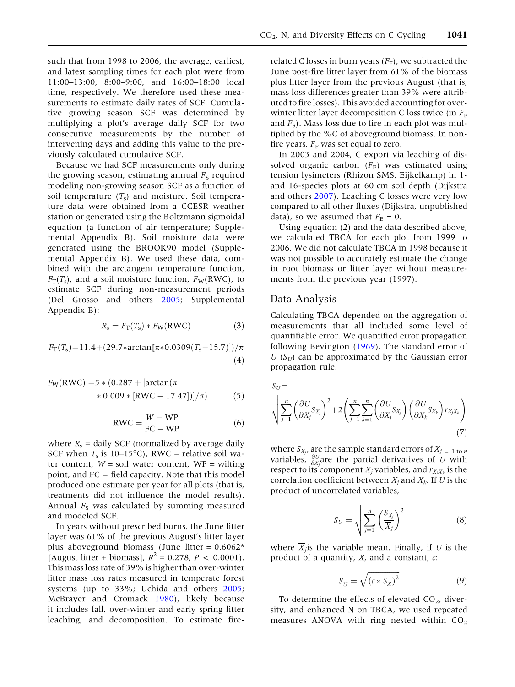such that from 1998 to 2006, the average, earliest, and latest sampling times for each plot were from 11:00–13:00, 8:00–9:00, and 16:00–18:00 local time, respectively. We therefore used these measurements to estimate daily rates of SCF. Cumulative growing season SCF was determined by multiplying a plot's average daily SCF for two consecutive measurements by the number of intervening days and adding this value to the previously calculated cumulative SCF.

Because we had SCF measurements only during the growing season, estimating annual  $F<sub>S</sub>$  required modeling non-growing season SCF as a function of soil temperature  $(T<sub>s</sub>)$  and moisture. Soil temperature data were obtained from a CCESR weather station or generated using the Boltzmann sigmoidal equation (a function of air temperature; Supplemental Appendix B). Soil moisture data were generated using the BROOK90 model (Supplemental Appendix B). We used these data, combined with the arctangent temperature function,  $F_T(T_s)$ , and a soil moisture function,  $F_W(RWC)$ , to estimate SCF during non-measurement periods (Del Grosso and others [2005](#page-13-0); Supplemental Appendix B):

$$
R_{\rm s} = F_{\rm T}(T_{\rm s}) * F_{\rm W}(\rm RWC)
$$
 (3)

$$
F_{\rm T}(T_{\rm s})=11.4+(29.7*arctan[\pi*0.0309(T_{\rm s}-15.7)])/\pi
$$
\n(4)

$$
F_{\rm W}({\rm RWC}) = 5 * (0.287 + [\arctan(\pi \times 0.009 * [{\rm RWC} - 17.47])]/\pi)
$$
 (5)

$$
RWC = \frac{W - WP}{FC - WP}
$$
 (6)

where  $R_s$  = daily SCF (normalized by average daily SCF when  $T_s$  is 10–15°C), RWC = relative soil water content,  $W = \text{solid water content}$ ,  $WP = \text{wiling}$ point, and FC = field capacity. Note that this model produced one estimate per year for all plots (that is, treatments did not influence the model results). Annual  $F<sub>S</sub>$  was calculated by summing measured and modeled SCF.

In years without prescribed burns, the June litter layer was 61% of the previous August's litter layer plus aboveground biomass (June litter =  $0.6062*$ [August litter + biomass],  $R^2 = 0.278$ ,  $P < 0.0001$ ). This mass loss rate of 39% is higher than over-winter litter mass loss rates measured in temperate forest systems (up to 33%; Uchida and others [2005](#page-15-0); McBrayer and Cromack [1980\)](#page-14-0), likely because it includes fall, over-winter and early spring litter leaching, and decomposition. To estimate fire-

related C losses in burn years  $(F_F)$ , we subtracted the June post-fire litter layer from 61% of the biomass plus litter layer from the previous August (that is, mass loss differences greater than 39% were attributed to fire losses). This avoided accounting for overwinter litter layer decomposition C loss twice (in  $F_F$ and  $F<sub>S</sub>$ ). Mass loss due to fire in each plot was multiplied by the %C of aboveground biomass. In nonfire years,  $F_F$  was set equal to zero.

In 2003 and 2004, C export via leaching of dissolved organic carbon  $(F<sub>E</sub>)$  was estimated using tension lysimeters (Rhizon SMS, Eijkelkamp) in 1 and 16-species plots at 60 cm soil depth (Dijkstra and others [2007](#page-13-0)). Leaching C losses were very low compared to all other fluxes (Dijkstra, unpublished data), so we assumed that  $F_{\rm E} = 0$ .

Using equation (2) and the data described above, we calculated TBCA for each plot from 1999 to 2006. We did not calculate TBCA in 1998 because it was not possible to accurately estimate the change in root biomass or litter layer without measurements from the previous year (1997).

#### Data Analysis

Calculating TBCA depended on the aggregation of measurements that all included some level of quantifiable error. We quantified error propagation following Bevington ([1969\)](#page-13-0). The standard error of  $U(S_U)$  can be approximated by the Gaussian error propagation rule:

$$
S_U = \sqrt{\sum_{j=1}^n \left(\frac{\partial U}{\partial X_j} S_{X_j}\right)^2 + 2\left(\sum_{j=1}^n \sum_{k=1}^n \left(\frac{\partial U}{\partial X_j} S_{X_j}\right) \left(\frac{\partial U}{\partial X_k} S_{X_k}\right) r_{X_j X_k}\right)}
$$
(7)

where  $S_{X_j}$ , are the sample standard errors of  $X_j = 1$  to n variables,  $\frac{\partial U}{\partial X_i}$  are the partial derivatives of U with respect to its component  $X_j$  variables, and  $r_{X_iX_k}$  is the correlation coefficient between  $X_i$  and  $X_k$ . If U is the product of uncorrelated variables,

$$
S_U = \sqrt{\sum_{j=1}^{n} \left(\frac{S_{X_j}}{\overline{X}_j}\right)^2}
$$
 (8)

where  $\overline{X}_j$  is the variable mean. Finally, if U is the product of a quantity,  $X$ , and a constant,  $c$ :

$$
S_U = \sqrt{(c * S_X)^2}
$$
 (9)

To determine the effects of elevated  $CO<sub>2</sub>$ , diversity, and enhanced N on TBCA, we used repeated measures ANOVA with ring nested within  $CO<sub>2</sub>$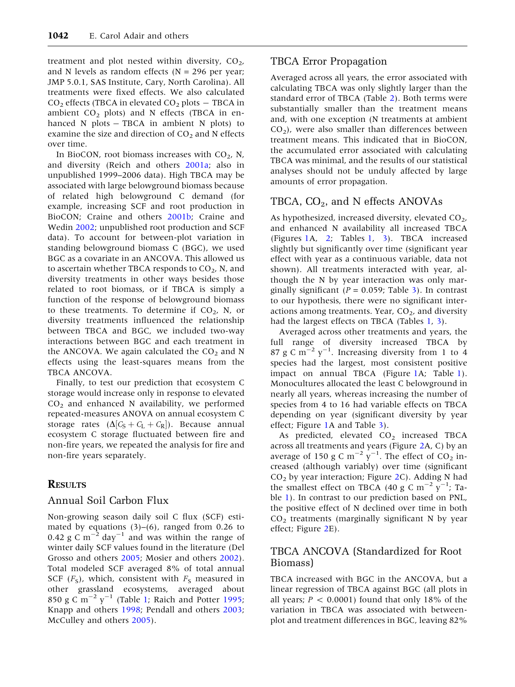treatment and plot nested within diversity,  $CO<sub>2</sub>$ , and N levels as random effects ( $N = 296$  per year; JMP 5.0.1, SAS Institute, Cary, North Carolina). All treatments were fixed effects. We also calculated  $CO<sub>2</sub>$  effects (TBCA in elevated  $CO<sub>2</sub>$  plots  $-$  TBCA in ambient  $CO<sub>2</sub>$  plots) and N effects (TBCA in enhanced  $N$  plots  $-$  TBCA in ambient  $N$  plots) to examine the size and direction of  $CO<sub>2</sub>$  and N effects over time.

In BioCON, root biomass increases with  $CO<sub>2</sub>$ , N, and diversity (Reich and others [2001a;](#page-14-0) also in unpublished 1999–2006 data). High TBCA may be associated with large belowground biomass because of related high belowground C demand (for example, increasing SCF and root production in BioCON; Craine and others [2001b;](#page-13-0) Craine and Wedin [2002](#page-13-0); unpublished root production and SCF data). To account for between-plot variation in standing belowground biomass C (BGC), we used BGC as a covariate in an ANCOVA. This allowed us to ascertain whether TBCA responds to  $CO<sub>2</sub>$ , N, and diversity treatments in other ways besides those related to root biomass, or if TBCA is simply a function of the response of belowground biomass to these treatments. To determine if  $CO<sub>2</sub>$ , N, or diversity treatments influenced the relationship between TBCA and BGC, we included two-way interactions between BGC and each treatment in the ANCOVA. We again calculated the  $CO<sub>2</sub>$  and N effects using the least-squares means from the TBCA ANCOVA.

Finally, to test our prediction that ecosystem C storage would increase only in response to elevated  $CO<sub>2</sub>$  and enhanced N availability, we performed repeated-measures ANOVA on annual ecosystem C storage rates ( $\Delta [C_{\rm S} + C_{\rm L} + C_{\rm R}])$ . Because annual ecosystem C storage fluctuated between fire and non-fire years, we repeated the analysis for fire and non-fire years separately.

## **RESULTS**

## Annual Soil Carbon Flux

Non-growing season daily soil C flux (SCF) estimated by equations  $(3)$ – $(6)$ , ranged from 0.26 to 0.42 g C  $\text{m}^{-2}$  day<sup>-1</sup> and was within the range of winter daily SCF values found in the literature (Del Grosso and others [2005;](#page-13-0) Mosier and others [2002](#page-14-0)). Total modeled SCF averaged 8% of total annual SCF  $(F<sub>S</sub>)$ , which, consistent with  $F<sub>S</sub>$  measured in other grassland ecosystems, averaged about 850 g C m<sup>-2</sup>  $y^{-1}$  (Table [1;](#page-6-0) Raich and Potter [1995](#page-14-0); Knapp and others [1998](#page-14-0); Pendall and others [2003](#page-14-0); McCulley and others [2005\)](#page-14-0).

# TBCA Error Propagation

Averaged across all years, the error associated with calculating TBCA was only slightly larger than the standard error of TBCA (Table [2](#page-7-0)). Both terms were substantially smaller than the treatment means and, with one exception (N treatments at ambient  $CO<sub>2</sub>$ ), were also smaller than differences between treatment means. This indicated that in BioCON, the accumulated error associated with calculating TBCA was minimal, and the results of our statistical analyses should not be unduly affected by large amounts of error propagation.

# TBCA,  $CO<sub>2</sub>$ , and N effects ANOVAs

As hypothesized, increased diversity, elevated  $CO<sub>2</sub>$ , and enhanced N availability all increased TBCA (Figures [1A](#page-7-0), [2](#page-8-0); Tables [1](#page-6-0), [3\)](#page-9-0). TBCA increased slightly but significantly over time (significant year effect with year as a continuous variable, data not shown). All treatments interacted with year, although the N by year interaction was only marginally significant ( $P = 0.059$ ; Table [3](#page-9-0)). In contrast to our hypothesis, there were no significant interactions among treatments. Year,  $CO<sub>2</sub>$ , and diversity had the largest effects on TBCA (Tables [1](#page-6-0), [3](#page-9-0)).

Averaged across other treatments and years, the full range of diversity increased TBCA by 87 g C m<sup> $-2$ </sup> y<sup>-1</sup>. Increasing diversity from 1 to 4 species had the largest, most consistent positive impact on annual TBCA (Figure [1](#page-7-0)A; Table [1](#page-6-0)). Monocultures allocated the least C belowground in nearly all years, whereas increasing the number of species from 4 to 16 had variable effects on TBCA depending on year (significant diversity by year effect; Figure [1](#page-7-0)A and Table [3](#page-9-0)).

As predicted, elevated  $CO<sub>2</sub>$  increased TBCA across all treatments and years (Figure [2](#page-8-0)A, C) by an average of 150 g C  $m^{-2}$   $y^{-1}$ . The effect of CO<sub>2</sub> increased (although variably) over time (significant  $CO<sub>2</sub>$  by year interaction; Figure [2C](#page-8-0)). Adding N had the smallest effect on TBCA (40 g C m<sup>-2</sup>  $y^{-1}$ ; Table [1\)](#page-6-0). In contrast to our prediction based on PNL, the positive effect of N declined over time in both  $CO<sub>2</sub>$  treatments (marginally significant N by year effect; Figure [2](#page-8-0)E).

## TBCA ANCOVA (Standardized for Root Biomass)

TBCA increased with BGC in the ANCOVA, but a linear regression of TBCA against BGC (all plots in all years;  $P < 0.0001$ ) found that only 18% of the variation in TBCA was associated with betweenplot and treatment differences in BGC, leaving 82%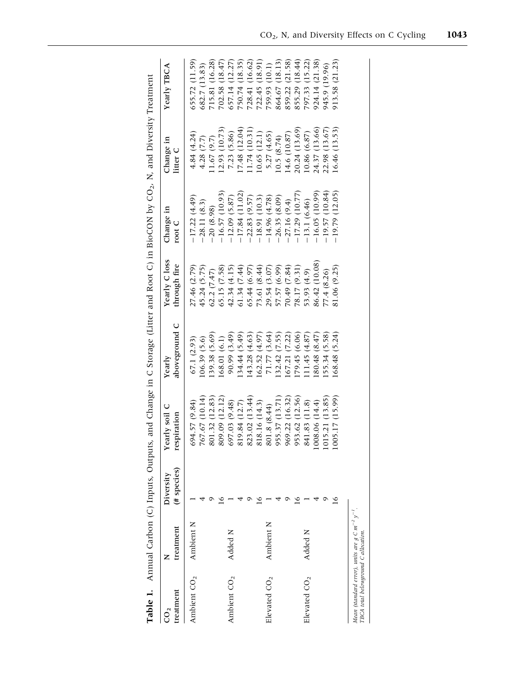<span id="page-6-0"></span>

| 39.38 (5.69)<br>90.99 (3.49)<br>34.44 (5.49)<br>71.77 (3.64)<br>(32.42 (7.55))<br>(43.28(4.63))<br>162.52 (4.97)<br>67.21(7.22)<br>79.45 (6.06)<br>11.45(4.87)<br>(68.01(6.1))<br>106.39(5.6)<br>67.1 (2.93)<br>955.37 (13.71)<br>969.22 (16.32)<br>953.62 (12.56)<br>767.67 (10.14)<br>801.32 (12.83)<br>809.09 (12.12)<br>823.02 (13.44)<br>818.16 (14.3)<br>841.83 (11.8)<br>697.03 (9.48)<br>694.57 (9.84)<br>819.84 (12.7)<br>801.8 (8.44)<br>Ambient N<br>Ambient N<br>Added N<br>Added N<br>Elevated $CO2$<br>Ambient CO <sub>2</sub><br>Ambient CO <sub>2</sub><br>Elevated $CO2$ | 27.46 (2.79)<br>45.24 (5.75)<br>65.15 (7.58)<br>62.2(7.47) | $-17.22(4.49)$   | Change in<br>litter C | Yearly TBCA    |
|-------------------------------------------------------------------------------------------------------------------------------------------------------------------------------------------------------------------------------------------------------------------------------------------------------------------------------------------------------------------------------------------------------------------------------------------------------------------------------------------------------------------------------------------------------------------------------------------|------------------------------------------------------------|------------------|-----------------------|----------------|
|                                                                                                                                                                                                                                                                                                                                                                                                                                                                                                                                                                                           |                                                            |                  | 4.84 (4.24)           | 655.72 (11.59) |
|                                                                                                                                                                                                                                                                                                                                                                                                                                                                                                                                                                                           |                                                            | $-28.11(8.3)$    | 4.28 (7.7)            | 682.7 (13.83)  |
|                                                                                                                                                                                                                                                                                                                                                                                                                                                                                                                                                                                           |                                                            | $-20(8.98)$      | 1.67(9.7)             | 715.81 (16.28) |
|                                                                                                                                                                                                                                                                                                                                                                                                                                                                                                                                                                                           |                                                            | $-16.57(10.93)$  | (2.93)(10.73)         | 702.58 (18.47) |
|                                                                                                                                                                                                                                                                                                                                                                                                                                                                                                                                                                                           | 42.34 (4.15)                                               | $-12.09(5.87)$   | 7.23(5.86)            | 657.14 (12.27) |
|                                                                                                                                                                                                                                                                                                                                                                                                                                                                                                                                                                                           | 61.34 (7.44)                                               | $-17.84(11.02)$  | 17.48(12.04)          | 750.74 (18.35) |
|                                                                                                                                                                                                                                                                                                                                                                                                                                                                                                                                                                                           | 65.44 (6.97)                                               | $-22.83(9.57)$   | .1.74(10.31)          | 728.41 (16.62) |
|                                                                                                                                                                                                                                                                                                                                                                                                                                                                                                                                                                                           | 73.61 (8.44)                                               | $-18.91(10.3)$   | 10.65(12.1)           | 722.45 (18.91) |
|                                                                                                                                                                                                                                                                                                                                                                                                                                                                                                                                                                                           | 29.54 (3.07)                                               | $-14.96(4.78)$   | 5.27 (4.65)           | 759.93 (10.1)  |
|                                                                                                                                                                                                                                                                                                                                                                                                                                                                                                                                                                                           | 57.57 (6.99)                                               | $-26.35(8.09)$   | 10.5(8.74)            | 864.67 (18.13) |
|                                                                                                                                                                                                                                                                                                                                                                                                                                                                                                                                                                                           | 70.49 (7.84)                                               | 27.16(9.4)       | 14.6 (10.87)          | 859.22 (21.58) |
|                                                                                                                                                                                                                                                                                                                                                                                                                                                                                                                                                                                           | 78.17 (9.31)                                               | $-17.29$ (10.77) | 20.24 (13.69)         | 855.29 (18.44) |
|                                                                                                                                                                                                                                                                                                                                                                                                                                                                                                                                                                                           | (4.93, 4.9)                                                | $-13.1(6.46)$    | 0.86(6.87)            | 797.33 (15.22) |
| 80.48 (8.47)<br>(008.06(14.4))                                                                                                                                                                                                                                                                                                                                                                                                                                                                                                                                                            | 86.42 (10.08)                                              | $-16.05(10.99)$  | 24.37 (13.66)         | 924.14 (21.38) |
| 55.34 (5.58)<br>(015.21(13.85))                                                                                                                                                                                                                                                                                                                                                                                                                                                                                                                                                           | 77.4 (8.26)                                                | $-19.57(10.84)$  | 22.98 (13.67)         | 945.9 (19.96)  |
| 168.48 (5.24)<br>(005.17(15.99))<br>$\overline{6}$                                                                                                                                                                                                                                                                                                                                                                                                                                                                                                                                        | 81.06 (9.25)                                               | $-19.79(12.05)$  | 16.46(13.53)          | 913.58 (21.23) |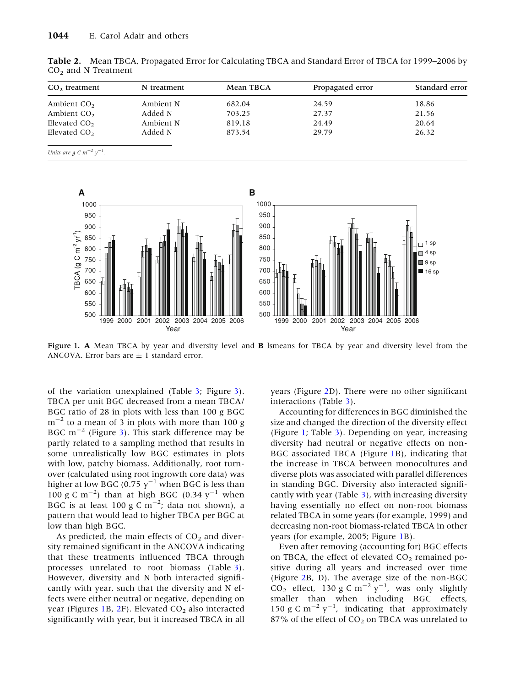| CO <sub>2</sub> treatment | N treatment | Mean TBCA | Propagated error | Standard error |
|---------------------------|-------------|-----------|------------------|----------------|
| Ambient $CO2$             | Ambient N   | 682.04    | 24.59            | 18.86          |
| Ambient $CO2$             | Added N     | 703.25    | 27.37            | 21.56          |
| Elevated CO <sub>2</sub>  | Ambient N   | 819.18    | 24.49            | 20.64          |
| Elevated CO <sub>2</sub>  | Added N     | 873.54    | 29.79            | 26.32          |

<span id="page-7-0"></span>Table 2. Mean TBCA, Propagated Error for Calculating TBCA and Standard Error of TBCA for 1999–2006 by  $CO<sub>2</sub>$  and N Treatment

Units are  $g \, C \, m^{-2} \, y^{-1}$ .



Figure 1. A Mean TBCA by year and diversity level and **B** lsmeans for TBCA by year and diversity level from the ANCOVA. Error bars are  $\pm$  1 standard error.

of the variation unexplained (Table [3](#page-9-0); Figure [3](#page-9-0)). TBCA per unit BGC decreased from a mean TBCA/ BGC ratio of 28 in plots with less than 100 g BGC  $m^{-2}$  to a mean of 3 in plots with more than 100 g BGC  $m^{-2}$  (Figure [3\)](#page-9-0). This stark difference may be partly related to a sampling method that results in some unrealistically low BGC estimates in plots with low, patchy biomass. Additionally, root turnover (calculated using root ingrowth core data) was higher at low BGC (0.75  $y^{-1}$  when BGC is less than 100 g C m<sup>-2</sup>) than at high BGC (0.34  $y^{-1}$  when BGC is at least 100 g C  $\text{m}^{-2}$ ; data not shown), a pattern that would lead to higher TBCA per BGC at low than high BGC.

As predicted, the main effects of  $CO<sub>2</sub>$  and diversity remained significant in the ANCOVA indicating that these treatments influenced TBCA through processes unrelated to root biomass (Table [3](#page-9-0)). However, diversity and N both interacted significantly with year, such that the diversity and N effects were either neutral or negative, depending on year (Figures 1B,  $2F$ ). Elevated  $CO<sub>2</sub>$  also interacted significantly with year, but it increased TBCA in all years (Figure [2](#page-8-0)D). There were no other significant interactions (Table [3\)](#page-9-0).

Accounting for differences in BGC diminished the size and changed the direction of the diversity effect (Figure 1; Table [3\)](#page-9-0). Depending on year, increasing diversity had neutral or negative effects on non-BGC associated TBCA (Figure 1B), indicating that the increase in TBCA between monocultures and diverse plots was associated with parallel differences in standing BGC. Diversity also interacted significantly with year (Table [3](#page-9-0)), with increasing diversity having essentially no effect on non-root biomass related TBCA in some years (for example, 1999) and decreasing non-root biomass-related TBCA in other years (for example, 2005; Figure 1B).

Even after removing (accounting for) BGC effects on TBCA, the effect of elevated  $CO<sub>2</sub>$  remained positive during all years and increased over time (Figure [2B](#page-8-0), D). The average size of the non-BGC  $CO<sub>2</sub>$  effect, 130 g C m<sup>-2</sup> y<sup>-1</sup>, was only slightly smaller than when including BGC effects, 150 g C m<sup>-2</sup> y<sup>-1</sup>, indicating that approximately 87% of the effect of  $CO<sub>2</sub>$  on TBCA was unrelated to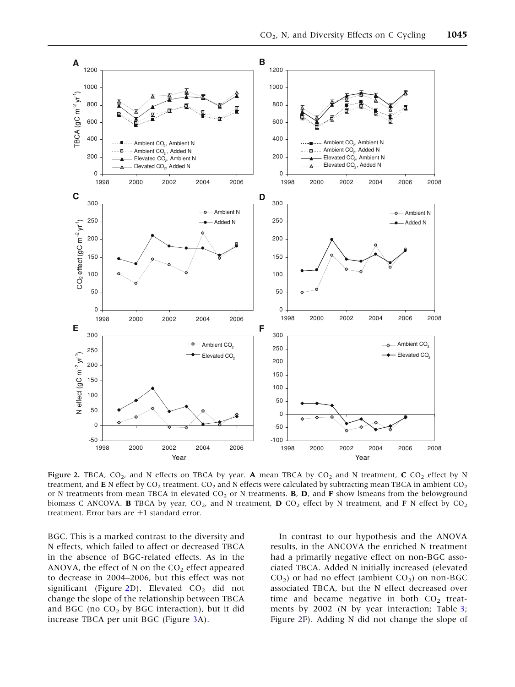<span id="page-8-0"></span>

Figure 2. TBCA,  $CO_2$ , and N effects on TBCA by year. A mean TBCA by  $CO_2$  and N treatment, C  $CO_2$  effect by N treatment, and E N effect by  $CO_2$  treatment.  $CO_2$  and N effects were calculated by subtracting mean TBCA in ambient  $CO_2$ or N treatments from mean TBCA in elevated  $CO_2$  or N treatments. **B**, **D**, and **F** show lsmeans from the belowground biomass C ANCOVA. **B** TBCA by year, CO<sub>2</sub>, and N treatment, **D** CO<sub>2</sub> effect by N treatment, and **F** N effect by CO<sub>2</sub> treatment. Error bars are  $\pm 1$  standard error.

BGC. This is a marked contrast to the diversity and N effects, which failed to affect or decreased TBCA in the absence of BGC-related effects. As in the ANOVA, the effect of N on the  $CO<sub>2</sub>$  effect appeared to decrease in 2004–2006, but this effect was not significant (Figure 2D). Elevated  $CO<sub>2</sub>$  did not change the slope of the relationship between TBCA and BGC (no  $CO<sub>2</sub>$  by BGC interaction), but it did increase TBCA per unit BGC (Figure [3A](#page-9-0)).

In contrast to our hypothesis and the ANOVA results, in the ANCOVA the enriched N treatment had a primarily negative effect on non-BGC associated TBCA. Added N initially increased (elevated  $CO<sub>2</sub>$ ) or had no effect (ambient  $CO<sub>2</sub>$ ) on non-BGC associated TBCA, but the N effect decreased over time and became negative in both  $CO<sub>2</sub>$  treat-ments by 2002 (N by year interaction; Table [3](#page-9-0); Figure 2F). Adding N did not change the slope of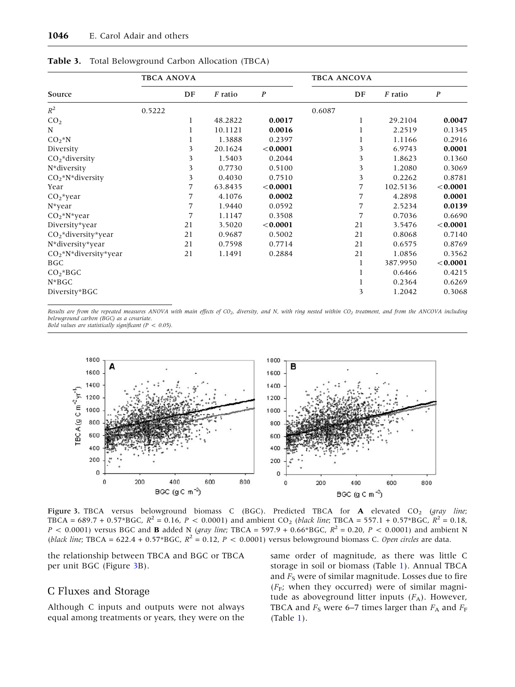|                        | <b>TBCA ANOVA</b> |    |                |                  | <b>TBCA ANCOVA</b> |    |                |                  |  |  |  |
|------------------------|-------------------|----|----------------|------------------|--------------------|----|----------------|------------------|--|--|--|
| Source                 |                   | DF | <i>F</i> ratio | $\boldsymbol{P}$ |                    | DF | <i>F</i> ratio | $\boldsymbol{P}$ |  |  |  |
| $R^2$                  | 0.5222            |    |                |                  | 0.6087             |    |                |                  |  |  |  |
| CO <sub>2</sub>        |                   |    | 48.2822        | 0.0017           |                    | 1  | 29.2104        | 0.0047           |  |  |  |
| N                      |                   |    | 10.1121        | 0.0016           |                    |    | 2.2519         | 0.1345           |  |  |  |
| $CO_2 N$               |                   |    | 1.3888         | 0.2397           |                    |    | 1.1166         | 0.2916           |  |  |  |
| Diversity              |                   | 3  | 20.1624        | < 0.0001         |                    | 3  | 6.9743         | 0.0001           |  |  |  |
| $CO2$ *diversity       |                   | 3  | 1.5403         | 0.2044           |                    | 3  | 1.8623         | 0.1360           |  |  |  |
| N*diversity            |                   | 3  | 0.7730         | 0.5100           |                    | 3  | 1.2080         | 0.3069           |  |  |  |
| $CO_2^*N^*diversity$   |                   | 3  | 0.4030         | 0.7510           |                    | 3  | 0.2262         | 0.8781           |  |  |  |
| Year                   |                   | 7  | 63.8435        | < 0.0001         |                    | 7  | 102.5136       | < 0.0001         |  |  |  |
| $CO2$ *year            |                   | 7  | 4.1076         | 0.0002           |                    | 7  | 4.2898         | 0.0001           |  |  |  |
| $N^*$ year             |                   | 7  | 1.9440         | 0.0592           |                    | 7  | 2.5234         | 0.0139           |  |  |  |
| $CO2*N*year$           |                   | 7  | 1.1147         | 0.3508           |                    | 7  | 0.7036         | 0.6690           |  |  |  |
| Diversity*year         |                   | 21 | 3.5020         | < 0.0001         |                    | 21 | 3.5476         | < 0.0001         |  |  |  |
| $CO2$ *diversity*year  |                   | 21 | 0.9687         | 0.5002           |                    | 21 | 0.8068         | 0.7140           |  |  |  |
| N*diversity*year       |                   | 21 | 0.7598         | 0.7714           |                    | 21 | 0.6575         | 0.8769           |  |  |  |
| $CO2*N*diversity*year$ |                   | 21 | 1.1491         | 0.2884           |                    | 21 | 1.0856         | 0.3562           |  |  |  |
| <b>BGC</b>             |                   |    |                |                  |                    | 1  | 387.9950       | < 0.0001         |  |  |  |
| $CO2*BGC$              |                   |    |                |                  |                    | 1  | 0.6466         | 0.4215           |  |  |  |
| $N*BGC$                |                   |    |                |                  |                    |    | 0.2364         | 0.6269           |  |  |  |
| Diversity*BGC          |                   |    |                |                  |                    | 3  | 1.2042         | 0.3068           |  |  |  |

<span id="page-9-0"></span>Table 3. Total Belowground Carbon Allocation (TBCA)

Results are from the repeated measures ANOVA with main effects of CO<sub>2</sub>, diversity, and N, with ring nested within CO<sub>2</sub> treatment, and from the ANCOVA including belowground carbon (BGC) as a covariate. Bold values are statistically significant ( $P < 0.05$ ).



Figure 3. TBCA versus belowground biomass C (BGC). Predicted TBCA for  $A$  elevated CO<sub>2</sub> (gray line; TBCA = 689.7 + 0.57\*BGC,  $R^2$  = 0.16, P < 0.0001) and ambient CO<sub>2</sub> (black line; TBCA = 557.1 + 0.57\*BGC,  $R^2$  = 0.18,  $P < 0.0001$ ) versus BGC and **B** added N (gray line; TBCA = 597.9 + 0.66\*BGC,  $R^2 = 0.20$ ,  $P < 0.0001$ ) and ambient N (black line; TBCA = 622.4 + 0.57\*BGC,  $R^2 = 0.12$ ,  $P < 0.0001$ ) versus belowground biomass C. Open circles are data.

the relationship between TBCA and BGC or TBCA per unit BGC (Figure 3B).

# C Fluxes and Storage

Although C inputs and outputs were not always equal among treatments or years, they were on the

same order of magnitude, as there was little C storage in soil or biomass (Table [1](#page-6-0)). Annual TBCA and  $F<sub>S</sub>$  were of similar magnitude. Losses due to fire  $(F_F;$  when they occurred) were of similar magnitude as aboveground litter inputs  $(F_A)$ . However, TBCA and  $F_S$  were 6–7 times larger than  $F_A$  and  $F_F$  $(Table 1)$  $(Table 1)$  $(Table 1)$ .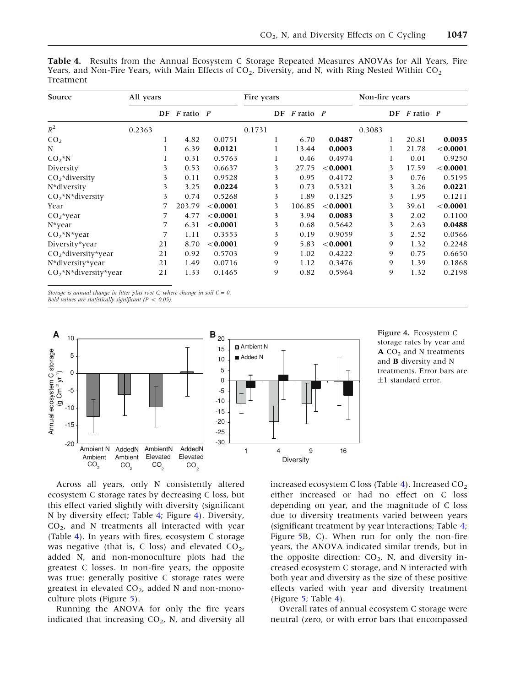| Source                          | All years |    |               |          | Fire years |    |           | Non-fire years |        |    |               |          |
|---------------------------------|-----------|----|---------------|----------|------------|----|-----------|----------------|--------|----|---------------|----------|
|                                 |           | DF | $F$ ratio $P$ |          |            | DF | F ratio P |                |        | DF | $F$ ratio $P$ |          |
| $R^2$                           | 0.2363    |    |               |          | 0.1731     |    |           |                | 0.3083 |    |               |          |
| CO <sub>2</sub>                 |           |    | 4.82          | 0.0751   |            |    | 6.70      | 0.0487         |        |    | 20.81         | 0.0035   |
| N                               |           |    | 6.39          | 0.0121   |            |    | 13.44     | 0.0003         |        |    | 21.78         | < 0.0001 |
| $CO2*N$                         |           |    | 0.31          | 0.5763   |            |    | 0.46      | 0.4974         |        |    | 0.01          | 0.9250   |
| Diversity                       |           | 3  | 0.53          | 0.6637   |            | 3  | 27.75     | < 0.0001       |        | 3  | 17.59         | < 0.0001 |
| $CO2$ *diversity                |           | 3  | 0.11          | 0.9528   |            | 3  | 0.95      | 0.4172         |        | 3  | 0.76          | 0.5195   |
| N*diversity                     |           | 3  | 3.25          | 0.0224   |            | 3  | 0.73      | 0.5321         |        | 3  | 3.26          | 0.0221   |
| $CO2*N*diversity$               |           | 3  | 0.74          | 0.5268   |            | 3  | 1.89      | 0.1325         |        | 3  | 1.95          | 0.1211   |
| Year                            |           |    | 203.79        | < 0.0001 |            | 3  | 106.85    | < 0.0001       |        | 3  | 39.61         | < 0.0001 |
| $CO2$ *year                     |           |    | 4.77          | < 0.0001 |            | 3  | 3.94      | 0.0083         |        | 3  | 2.02          | 0.1100   |
| $N^*$ year                      |           | 7  | 6.31          | < 0.0001 |            | 3  | 0.68      | 0.5642         |        | 3  | 2.63          | 0.0488   |
| $CO2*N*year$                    |           | 7  | 1.11          | 0.3553   |            | 3  | 0.19      | 0.9059         |        | 3  | 2.52          | 0.0566   |
| Diversity*year                  |           | 21 | 8.70          | < 0.0001 |            | 9  | 5.83      | < 0.0001       |        | 9  | 1.32          | 0.2248   |
| CO <sub>2</sub> *diversity*year |           | 21 | 0.92          | 0.5703   |            | 9  | 1.02      | 0.4222         |        | 9  | 0.75          | 0.6650   |
| N*diversity*year                |           | 21 | 1.49          | 0.0716   |            | 9  | 1.12      | 0.3476         |        | 9  | 1.39          | 0.1868   |
| $CO2*N*diversity*year$          |           | 21 | 1.33          | 0.1465   |            | 9  | 0.82      | 0.5964         |        | 9  | 1.32          | 0.2198   |

<span id="page-10-0"></span>Table 4. Results from the Annual Ecosystem C Storage Repeated Measures ANOVAs for All Years, Fire Years, and Non-Fire Years, with Main Effects of  $CO_2$ , Diversity, and N, with Ring Nested Within  $CO_2$ Treatment

Storage is annual change in litter plus root C, where change in soil  $C = 0$ . Bold values are statistically significant ( $P < 0.05$ ).



Figure 4. Ecosystem C storage rates by year and  $\mathbf{A}$  CO<sub>2</sub> and N treatments and **B** diversity and N treatments. Error bars are ±1 standard error.

Across all years, only N consistently altered ecosystem C storage rates by decreasing C loss, but this effect varied slightly with diversity (significant N by diversity effect; Table 4; Figure 4). Diversity,  $CO<sub>2</sub>$ , and N treatments all interacted with year (Table 4). In years with fires, ecosystem C storage was negative (that is, C loss) and elevated  $CO<sub>2</sub>$ , added N, and non-monoculture plots had the greatest C losses. In non-fire years, the opposite was true: generally positive C storage rates were greatest in elevated  $CO<sub>2</sub>$ , added N and non-monoculture plots (Figure [5](#page-11-0)).

Running the ANOVA for only the fire years indicated that increasing  $CO<sub>2</sub>$ , N, and diversity all

increased ecosystem C loss (Table 4). Increased  $CO<sub>2</sub>$ either increased or had no effect on C loss depending on year, and the magnitude of C loss due to diversity treatments varied between years (significant treatment by year interactions; Table 4; Figure [5](#page-11-0)B, C). When run for only the non-fire years, the ANOVA indicated similar trends, but in the opposite direction:  $CO<sub>2</sub>$ , N, and diversity increased ecosystem C storage, and N interacted with both year and diversity as the size of these positive effects varied with year and diversity treatment (Figure [5;](#page-11-0) Table 4).

Overall rates of annual ecosystem C storage were neutral (zero, or with error bars that encompassed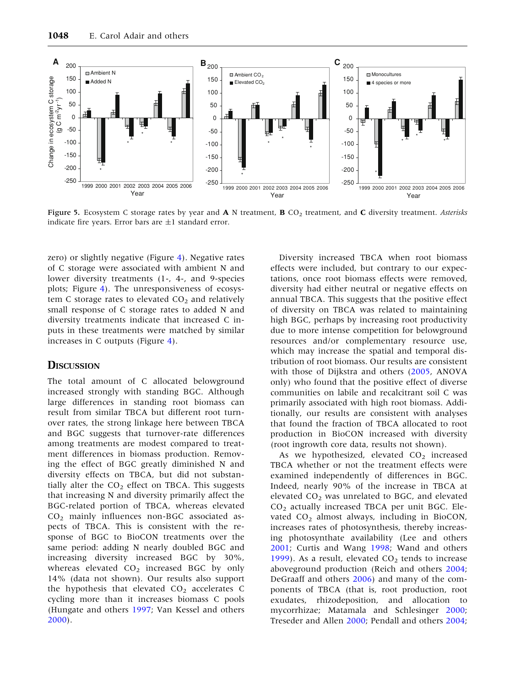<span id="page-11-0"></span>

Figure 5. Ecosystem C storage rates by year and  $\bf{A}$  N treatment,  $\bf{B}$  CO<sub>2</sub> treatment, and  $\bf{C}$  diversity treatment. Asterisks indicate fire years. Error bars are  $\pm 1$  standard error.

zero) or slightly negative (Figure [4\)](#page-10-0). Negative rates of C storage were associated with ambient N and lower diversity treatments (1-, 4-, and 9-species plots; Figure [4\)](#page-10-0). The unresponsiveness of ecosystem C storage rates to elevated  $CO<sub>2</sub>$  and relatively small response of C storage rates to added N and diversity treatments indicate that increased C inputs in these treatments were matched by similar increases in C outputs (Figure [4](#page-10-0)).

#### **D**ISCUSSION

The total amount of C allocated belowground increased strongly with standing BGC. Although large differences in standing root biomass can result from similar TBCA but different root turnover rates, the strong linkage here between TBCA and BGC suggests that turnover-rate differences among treatments are modest compared to treatment differences in biomass production. Removing the effect of BGC greatly diminished N and diversity effects on TBCA, but did not substantially alter the  $CO<sub>2</sub>$  effect on TBCA. This suggests that increasing N and diversity primarily affect the BGC-related portion of TBCA, whereas elevated CO2 mainly influences non-BGC associated aspects of TBCA. This is consistent with the response of BGC to BioCON treatments over the same period: adding N nearly doubled BGC and increasing diversity increased BGC by 30%, whereas elevated  $CO<sub>2</sub>$  increased BGC by only 14% (data not shown). Our results also support the hypothesis that elevated  $CO<sub>2</sub>$  accelerates C cycling more than it increases biomass C pools (Hungate and others [1997](#page-14-0); Van Kessel and others [2000\)](#page-15-0).

Diversity increased TBCA when root biomass effects were included, but contrary to our expectations, once root biomass effects were removed, diversity had either neutral or negative effects on annual TBCA. This suggests that the positive effect of diversity on TBCA was related to maintaining high BGC, perhaps by increasing root productivity due to more intense competition for belowground resources and/or complementary resource use, which may increase the spatial and temporal distribution of root biomass. Our results are consistent with those of Dijkstra and others ([2005](#page-13-0), ANOVA only) who found that the positive effect of diverse communities on labile and recalcitrant soil C was primarily associated with high root biomass. Additionally, our results are consistent with analyses that found the fraction of TBCA allocated to root production in BioCON increased with diversity (root ingrowth core data, results not shown).

As we hypothesized, elevated  $CO<sub>2</sub>$  increased TBCA whether or not the treatment effects were examined independently of differences in BGC. Indeed, nearly 90% of the increase in TBCA at elevated  $CO<sub>2</sub>$  was unrelated to BGC, and elevated  $CO<sub>2</sub>$  actually increased TBCA per unit BGC. Elevated  $CO<sub>2</sub>$  almost always, including in BioCON, increases rates of photosynthesis, thereby increasing photosynthate availability (Lee and others [2001;](#page-14-0) Curtis and Wang [1998](#page-13-0); Wand and others [1999\)](#page-15-0). As a result, elevated  $CO<sub>2</sub>$  tends to increase aboveground production (Reich and others [2004](#page-14-0); DeGraaff and others [2006\)](#page-13-0) and many of the components of TBCA (that is, root production, root exudates, rhizodeposition, and allocation to mycorrhizae; Matamala and Schlesinger [2000](#page-14-0); Treseder and Allen [2000;](#page-15-0) Pendall and others [2004](#page-14-0);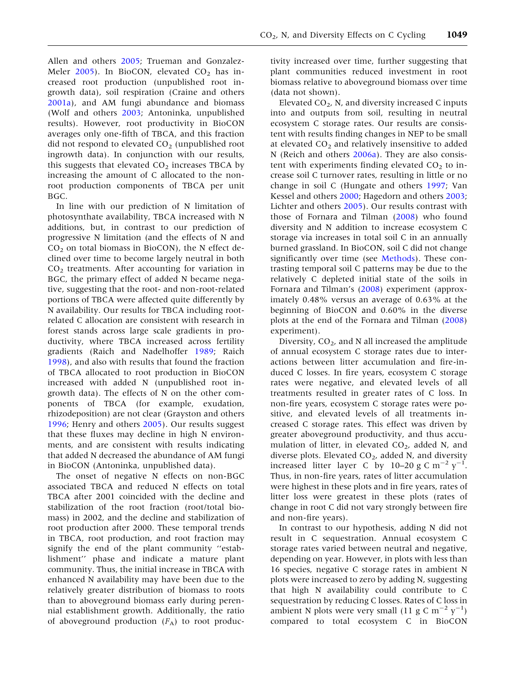Allen and others [2005](#page-13-0); Trueman and Gonzalez-Meler [2005\)](#page-15-0). In BioCON, elevated  $CO<sub>2</sub>$  has increased root production (unpublished root ingrowth data), soil respiration (Craine and others [2001a\)](#page-13-0), and AM fungi abundance and biomass (Wolf and others [2003;](#page-15-0) Antoninka, unpublished results). However, root productivity in BioCON averages only one-fifth of TBCA, and this fraction did not respond to elevated  $CO<sub>2</sub>$  (unpublished root ingrowth data). In conjunction with our results, this suggests that elevated  $CO<sub>2</sub>$  increases TBCA by increasing the amount of C allocated to the nonroot production components of TBCA per unit BGC.

In line with our prediction of N limitation of photosynthate availability, TBCA increased with N additions, but, in contrast to our prediction of progressive N limitation (and the effects of N and  $CO<sub>2</sub>$  on total biomass in BioCON), the N effect declined over time to become largely neutral in both  $CO<sub>2</sub>$  treatments. After accounting for variation in BGC, the primary effect of added N became negative, suggesting that the root- and non-root-related portions of TBCA were affected quite differently by N availability. Our results for TBCA including rootrelated C allocation are consistent with research in forest stands across large scale gradients in productivity, where TBCA increased across fertility gradients (Raich and Nadelhoffer [1989](#page-14-0); Raich [1998\)](#page-14-0), and also with results that found the fraction of TBCA allocated to root production in BioCON increased with added N (unpublished root ingrowth data). The effects of N on the other components of TBCA (for example, exudation, rhizodeposition) are not clear (Grayston and others [1996;](#page-14-0) Henry and others [2005\)](#page-14-0). Our results suggest that these fluxes may decline in high N environments, and are consistent with results indicating that added N decreased the abundance of AM fungi in BioCON (Antoninka, unpublished data).

The onset of negative N effects on non-BGC associated TBCA and reduced N effects on total TBCA after 2001 coincided with the decline and stabilization of the root fraction (root/total biomass) in 2002, and the decline and stabilization of root production after 2000. These temporal trends in TBCA, root production, and root fraction may signify the end of the plant community ''establishment'' phase and indicate a mature plant community. Thus, the initial increase in TBCA with enhanced N availability may have been due to the relatively greater distribution of biomass to roots than to aboveground biomass early during perennial establishment growth. Additionally, the ratio of aboveground production  $(F_A)$  to root produc-

tivity increased over time, further suggesting that plant communities reduced investment in root biomass relative to aboveground biomass over time (data not shown).

Elevated  $CO<sub>2</sub>$ , N, and diversity increased C inputs into and outputs from soil, resulting in neutral ecosystem C storage rates. Our results are consistent with results finding changes in NEP to be small at elevated  $CO<sub>2</sub>$  and relatively insensitive to added N (Reich and others [2006a](#page-15-0)). They are also consistent with experiments finding elevated  $CO<sub>2</sub>$  to increase soil C turnover rates, resulting in little or no change in soil C (Hungate and others [1997;](#page-14-0) Van Kessel and others [2000;](#page-15-0) Hagedorn and others [2003](#page-14-0); Lichter and others [2005](#page-14-0)). Our results contrast with those of Fornara and Tilman ([2008\)](#page-14-0) who found diversity and N addition to increase ecosystem C storage via increases in total soil C in an annually burned grassland. In BioCON, soil C did not change significantly over time (see [Methods\)](#page-2-0). These contrasting temporal soil C patterns may be due to the relatively C depleted initial state of the soils in Fornara and Tilman's [\(2008](#page-14-0)) experiment (approximately 0.48% versus an average of 0.63% at the beginning of BioCON and 0.60% in the diverse plots at the end of the Fornara and Tilman [\(2008](#page-14-0)) experiment).

Diversity,  $CO<sub>2</sub>$ , and N all increased the amplitude of annual ecosystem C storage rates due to interactions between litter accumulation and fire-induced C losses. In fire years, ecosystem C storage rates were negative, and elevated levels of all treatments resulted in greater rates of C loss. In non-fire years, ecosystem C storage rates were positive, and elevated levels of all treatments increased C storage rates. This effect was driven by greater aboveground productivity, and thus accumulation of litter, in elevated  $CO<sub>2</sub>$ , added N, and diverse plots. Elevated  $CO<sub>2</sub>$ , added N, and diversity increased litter layer C by 10–20 g C  $\mathrm{m}^{-2} \mathrm{y}^{-1}$ . Thus, in non-fire years, rates of litter accumulation were highest in these plots and in fire years, rates of litter loss were greatest in these plots (rates of change in root C did not vary strongly between fire and non-fire years).

In contrast to our hypothesis, adding N did not result in C sequestration. Annual ecosystem C storage rates varied between neutral and negative, depending on year. However, in plots with less than 16 species, negative C storage rates in ambient N plots were increased to zero by adding N, suggesting that high N availability could contribute to C sequestration by reducing C losses. Rates of C loss in ambient N plots were very small (11 g C m<sup>-2</sup>  $y^{-1}$ ) compared to total ecosystem C in BioCON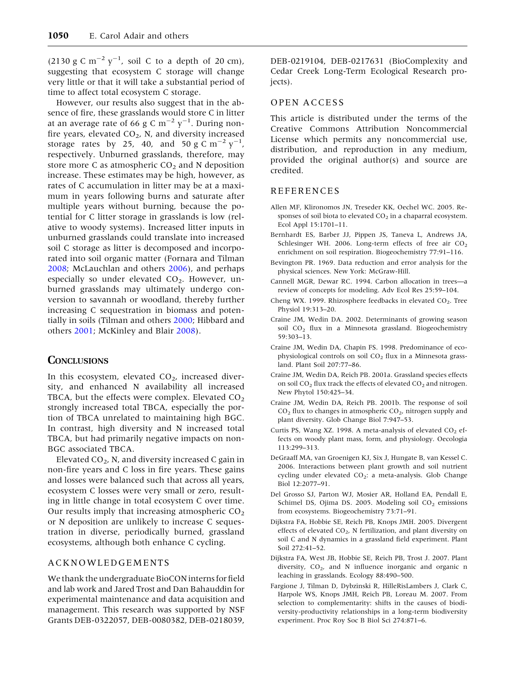<span id="page-13-0"></span>(2130 g C m<sup>-2</sup> y<sup>-1</sup>, soil C to a depth of 20 cm), suggesting that ecosystem C storage will change very little or that it will take a substantial period of time to affect total ecosystem C storage.

However, our results also suggest that in the absence of fire, these grasslands would store C in litter at an average rate of 66 g C  $\rm m^{-2}$   $\rm y^{-1}.$  During nonfire years, elevated  $CO<sub>2</sub>$ , N, and diversity increased storage rates by 25, 40, and 50 g  $\text{C m}^{-2} \text{ y}^{-1}$ , respectively. Unburned grasslands, therefore, may store more C as atmospheric  $CO<sub>2</sub>$  and N deposition increase. These estimates may be high, however, as rates of C accumulation in litter may be at a maximum in years following burns and saturate after multiple years without burning, because the potential for C litter storage in grasslands is low (relative to woody systems). Increased litter inputs in unburned grasslands could translate into increased soil C storage as litter is decomposed and incorporated into soil organic matter (Fornara and Tilman [2008;](#page-14-0) McLauchlan and others [2006](#page-14-0)), and perhaps especially so under elevated  $CO<sub>2</sub>$ . However, unburned grasslands may ultimately undergo conversion to savannah or woodland, thereby further increasing C sequestration in biomass and potentially in soils (Tilman and others [2000](#page-15-0); Hibbard and others [2001;](#page-14-0) McKinley and Blair [2008](#page-14-0)).

#### **CONCLUSIONS**

In this ecosystem, elevated  $CO<sub>2</sub>$ , increased diversity, and enhanced N availability all increased TBCA, but the effects were complex. Elevated  $CO<sub>2</sub>$ strongly increased total TBCA, especially the portion of TBCA unrelated to maintaining high BGC. In contrast, high diversity and N increased total TBCA, but had primarily negative impacts on non-BGC associated TBCA.

Elevated  $CO<sub>2</sub>$ , N, and diversity increased C gain in non-fire years and C loss in fire years. These gains and losses were balanced such that across all years, ecosystem C losses were very small or zero, resulting in little change in total ecosystem C over time. Our results imply that increasing atmospheric  $CO<sub>2</sub>$ or N deposition are unlikely to increase C sequestration in diverse, periodically burned, grassland ecosystems, although both enhance C cycling.

#### ACKNOWLEDGEMENTS

We thank the undergraduate BioCON interns for field and lab work and Jared Trost and Dan Bahauddin for experimental maintenance and data acquisition and management. This research was supported by NSF Grants DEB-0322057, DEB-0080382, DEB-0218039,

DEB-0219104, DEB-0217631 (BioComplexity and Cedar Creek Long-Term Ecological Research projects).

#### OPEN ACCESS

This article is distributed under the terms of the Creative Commons Attribution Noncommercial License which permits any noncommercial use, distribution, and reproduction in any medium, provided the original author(s) and source are credited.

#### REFERENCES

- Allen MF, Klironomos JN, Treseder KK, Oechel WC. 2005. Responses of soil biota to elevated  $CO<sub>2</sub>$  in a chaparral ecosystem. Ecol Appl 15:1701–11.
- Bernhardt ES, Barber JJ, Pippen JS, Taneva L, Andrews JA, Schlesinger WH. 2006. Long-term effects of free air  $CO<sub>2</sub>$ enrichment on soil respiration. Biogeochemistry 77:91–116.
- Bevington PR. 1969. Data reduction and error analysis for the physical sciences. New York: McGraw-Hill.
- Cannell MGR, Dewar RC. 1994. Carbon allocation in trees—a review of concepts for modeling. Adv Ecol Res 25:59–104.
- Cheng WX. 1999. Rhizosphere feedbacks in elevated  $CO<sub>2</sub>$ . Tree Physiol 19:313–20.
- Craine JM, Wedin DA. 2002. Determinants of growing season soil CO<sub>2</sub> flux in a Minnesota grassland. Biogeochemistry 59:303–13.
- Craine JM, Wedin DA, Chapin FS. 1998. Predominance of ecophysiological controls on soil  $CO<sub>2</sub>$  flux in a Minnesota grassland. Plant Soil 207:77–86.
- Craine JM, Wedin DA, Reich PB. 2001a. Grassland species effects on soil  $CO<sub>2</sub>$  flux track the effects of elevated  $CO<sub>2</sub>$  and nitrogen. New Phytol 150:425–34.
- Craine JM, Wedin DA, Reich PB. 2001b. The response of soil  $CO<sub>2</sub>$  flux to changes in atmospheric  $CO<sub>2</sub>$ , nitrogen supply and plant diversity. Glob Change Biol 7:947–53.
- Curtis PS, Wang XZ. 1998. A meta-analysis of elevated  $CO<sub>2</sub>$  effects on woody plant mass, form, and physiology. Oecologia 113:299–313.
- DeGraaff MA, van Groenigen KJ, Six J, Hungate B, van Kessel C. 2006. Interactions between plant growth and soil nutrient cycling under elevated  $CO<sub>2</sub>$ : a meta-analysis. Glob Change Biol 12:2077–91.
- Del Grosso SJ, Parton WJ, Mosier AR, Holland EA, Pendall E, Schimel DS, Ojima DS. 2005. Modeling soil  $CO<sub>2</sub>$  emissions from ecosystems. Biogeochemistry 73:71–91.
- Dijkstra FA, Hobbie SE, Reich PB, Knops JMH. 2005. Divergent effects of elevated  $CO<sub>2</sub>$ , N fertilization, and plant diversity on soil C and N dynamics in a grassland field experiment. Plant Soil 272:41–52.
- Dijkstra FA, West JB, Hobbie SE, Reich PB, Trost J. 2007. Plant diversity,  $CO<sub>2</sub>$ , and N influence inorganic and organic n leaching in grasslands. Ecology 88:490–500.
- Fargione J, Tilman D, Dybzinski R, HilleRisLambers J, Clark C, Harpole WS, Knops JMH, Reich PB, Loreau M. 2007. From selection to complementarity: shifts in the causes of biodiversity-productivity relationships in a long-term biodiversity experiment. Proc Roy Soc B Biol Sci 274:871–6.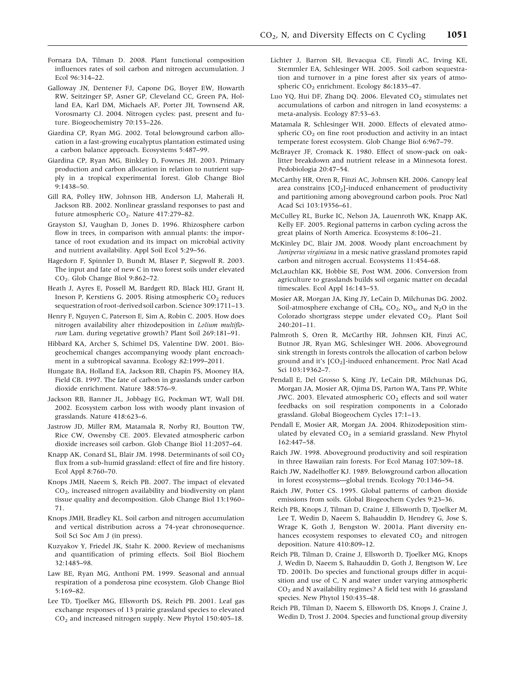- <span id="page-14-0"></span>Fornara DA, Tilman D. 2008. Plant functional composition influences rates of soil carbon and nitrogen accumulation. J Ecol 96:314–22.
- Galloway JN, Dentener FJ, Capone DG, Boyer EW, Howarth RW, Seitzinger SP, Asner GP, Cleveland CC, Green PA, Holland EA, Karl DM, Michaels AF, Porter JH, Townsend AR, Vorosmarty CJ. 2004. Nitrogen cycles: past, present and future. Biogeochemistry 70:153–226.
- Giardina CP, Ryan MG. 2002. Total belowground carbon allocation in a fast-growing eucalyptus plantation estimated using a carbon balance approach. Ecosystems 5:487–99.
- Giardina CP, Ryan MG, Binkley D, Fownes JH. 2003. Primary production and carbon allocation in relation to nutrient supply in a tropical experimental forest. Glob Change Biol 9:1438–50.
- Gill RA, Polley HW, Johnson HB, Anderson LJ, Maherali H, Jackson RB. 2002. Nonlinear grassland responses to past and future atmospheric  $CO<sub>2</sub>$ . Nature 417:279-82.
- Grayston SJ, Vaughan D, Jones D. 1996. Rhizosphere carbon flow in trees, in comparison with annual plants: the importance of root exudation and its impact on microbial activity and nutrient availability. Appl Soil Ecol 5:29–56.
- Hagedorn F, Spinnler D, Bundt M, Blaser P, Siegwolf R. 2003. The input and fate of new C in two forest soils under elevated CO2. Glob Change Biol 9:862–72.
- Heath J, Ayres E, Possell M, Bardgett RD, Black HIJ, Grant H, Ineson P, Kerstiens G. 2005. Rising atmospheric  $CO<sub>2</sub>$  reduces sequestration of root-derived soil carbon. Science 309:1711–13.
- Henry F, Nguyen C, Paterson E, Sim A, Robin C. 2005. How does nitrogen availability alter rhizodeposition in Lolium multiflorum Lam. during vegetative growth? Plant Soil 269:181–91.
- Hibbard KA, Archer S, Schimel DS, Valentine DW. 2001. Biogeochemical changes accompanying woody plant encroachment in a subtropical savanna. Ecology 82:1999–2011.
- Hungate BA, Holland EA, Jackson RB, Chapin FS, Mooney HA, Field CB. 1997. The fate of carbon in grasslands under carbon dioxide enrichment. Nature 388:576–9.
- Jackson RB, Banner JL, Jobbagy EG, Pockman WT, Wall DH. 2002. Ecosystem carbon loss with woody plant invasion of grasslands. Nature 418:623–6.
- Jastrow JD, Miller RM, Matamala R, Norby RJ, Boutton TW, Rice CW, Owensby CE. 2005. Elevated atmospheric carbon dioxide increases soil carbon. Glob Change Biol 11:2057–64.
- Knapp AK, Conard SL, Blair JM. 1998. Determinants of soil CO<sub>2</sub> flux from a sub-humid grassland: effect of fire and fire history. Ecol Appl 8:760–70.
- Knops JMH, Naeem S, Reich PB. 2007. The impact of elevated CO2, increased nitrogen availability and biodiversity on plant tissue quality and decomposition. Glob Change Biol 13:1960– 71.
- Knops JMH, Bradley KL. Soil carbon and nitrogen accumulation and vertical distribution across a 74-year chronosequence. Soil Sci Soc Am J (in press).
- Kuzyakov Y, Friedel JK, Stahr K. 2000. Review of mechanisms and quantification of priming effects. Soil Biol Biochem 32:1485–98.
- Law BE, Ryan MG, Anthoni PM. 1999. Seasonal and annual respiration of a ponderosa pine ecosystem. Glob Change Biol 5:169–82.
- Lee TD, Tjoelker MG, Ellsworth DS, Reich PB. 2001. Leaf gas exchange responses of 13 prairie grassland species to elevated CO2 and increased nitrogen supply. New Phytol 150:405–18.
- Lichter J, Barron SH, Bevacqua CE, Finzli AC, Irving KE, Stemmler EA, Schlesinger WH. 2005. Soil carbon sequestration and turnover in a pine forest after six years of atmospheric CO<sub>2</sub> enrichment. Ecology 86:1835-47.
- Luo YQ, Hui DF, Zhang DQ. 2006. Elevated  $CO<sub>2</sub>$  stimulates net accumulations of carbon and nitrogen in land ecosystems: a meta-analysis. Ecology 87:53–63.
- Matamala R, Schlesinger WH. 2000. Effects of elevated atmospheric  $CO<sub>2</sub>$  on fine root production and activity in an intact temperate forest ecosystem. Glob Change Biol 6:967–79.
- McBrayer JF, Cromack K. 1980. Effect of snow-pack on oaklitter breakdown and nutrient release in a Minnesota forest. Pedobiologia 20:47–54.
- McCarthy HR, Oren R, Finzi AC, Johnsen KH. 2006. Canopy leaf area constrains [CO2]-induced enhancement of productivity and partitioning among aboveground carbon pools. Proc Natl Acad Sci 103:19356–61.
- McCulley RL, Burke IC, Nelson JA, Lauenroth WK, Knapp AK, Kelly EF. 2005. Regional patterns in carbon cycling across the great plains of North America. Ecosystems 8:106–21.
- McKinley DC, Blair JM. 2008. Woody plant encroachment by Juniperus virginiana in a mesic native grassland promotes rapid carbon and nitrogen accrual. Ecosystems 11:454–68.
- McLauchlan KK, Hobbie SE, Post WM. 2006. Conversion from agriculture to grasslands builds soil organic matter on decadal timescales. Ecol Appl 16:143–53.
- Mosier AR, Morgan JA, King JY, LeCain D, Milchunas DG. 2002. Soil-atmosphere exchange of CH<sub>4</sub>, CO<sub>2</sub>, NO<sub>x</sub>, and N<sub>2</sub>O in the Colorado shortgrass steppe under elevated CO<sub>2</sub>. Plant Soil 240:201–11.
- Palmroth S, Oren R, McCarthy HR, Johnsen KH, Finzi AC, Butnor JR, Ryan MG, Schlesinger WH. 2006. Aboveground sink strength in forests controls the allocation of carbon below ground and it's [CO<sub>2</sub>]-induced enhancement. Proc Natl Acad Sci 103:19362–7.
- Pendall E, Del Grosso S, King JY, LeCain DR, Milchunas DG, Morgan JA, Mosier AR, Ojima DS, Parton WA, Tans PP, White JWC. 2003. Elevated atmospheric  $CO<sub>2</sub>$  effects and soil water feedbacks on soil respiration components in a Colorado grassland. Global Biogeochem Cycles 17:1–13.
- Pendall E, Mosier AR, Morgan JA. 2004. Rhizodeposition stimulated by elevated  $CO<sub>2</sub>$  in a semiarid grassland. New Phytol 162:447–58.
- Raich JW. 1998. Aboveground productivity and soil respiration in three Hawaiian rain forests. For Ecol Manag 107:309–18.
- Raich JW, Nadelhoffer KJ. 1989. Belowground carbon allocation in forest ecosystems—global trends. Ecology 70:1346–54.
- Raich JW, Potter CS. 1995. Global patterns of carbon dioxide emissions from soils. Global Biogeochem Cycles 9:23–36.
- Reich PB, Knops J, Tilman D, Craine J, Ellsworth D, Tjoelker M, Lee T, Wedin D, Naeem S, Bahauddin D, Hendrey G, Jose S, Wrage K, Goth J, Bengston W. 2001a. Plant diversity enhances ecosystem responses to elevated  $CO<sub>2</sub>$  and nitrogen deposition. Nature 410:809–12.
- Reich PB, Tilman D, Craine J, Ellsworth D, Tjoelker MG, Knops J, Wedin D, Naeem S, Bahauddin D, Goth J, Bengtson W, Lee TD. 2001b. Do species and functional groups differ in acquisition and use of C, N and water under varying atmospheric  $CO<sub>2</sub>$  and N availability regimes? A field test with 16 grassland species. New Phytol 150:435–48.
- Reich PB, Tilman D, Naeem S, Ellsworth DS, Knops J, Craine J, Wedin D, Trost J. 2004. Species and functional group diversity